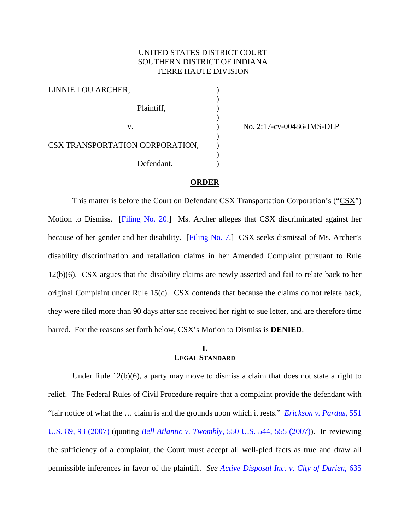## UNITED STATES DISTRICT COURT SOUTHERN DISTRICT OF INDIANA TERRE HAUTE DIVISION

)

)

)

)

LINNIE LOU ARCHER, ) Plaintiff, (a) CSX TRANSPORTATION CORPORATION, Defendant.

v. ) No. 2:17-cv-00486-JMS-DLP

## **ORDER**

This matter is before the Court on Defendant CSX Transportation Corporation's (" $\frac{C S X''}{C}$ ) Motion to Dismiss. [\[Filing No. 20.](https://ecf.insd.uscourts.gov/doc1/07316396015)] Ms. Archer alleges that CSX discriminated against her because of her gender and her disability. [\[Filing No. 7.](https://ecf.insd.uscourts.gov/doc1/07316298449)] CSX seeks dismissal of Ms. Archer's disability discrimination and retaliation claims in her Amended Complaint pursuant to Rule 12(b)(6). CSX argues that the disability claims are newly asserted and fail to relate back to her original Complaint under Rule 15(c). CSX contends that because the claims do not relate back, they were filed more than 90 days after she received her right to sue letter, and are therefore time barred. For the reasons set forth below, CSX's Motion to Dismiss is **DENIED**.

### **I. LEGAL STANDARD**

Under Rule 12(b)(6), a party may move to dismiss a claim that does not state a right to relief. The Federal Rules of Civil Procedure require that a complaint provide the defendant with "fair notice of what the … claim is and the grounds upon which it rests." *[Erickson v. Pardus](https://www.westlaw.com/Document/I71a59acb125911dc962ef0ed15906072/View/FullText.html?transitionType=Default&contextData=(sc.Default)&VR=3.0&RS=da3.0&fragmentIdentifier=co_pp_sp_780_93)*, 551 [U.S. 89, 93 \(2007\)](https://www.westlaw.com/Document/I71a59acb125911dc962ef0ed15906072/View/FullText.html?transitionType=Default&contextData=(sc.Default)&VR=3.0&RS=da3.0&fragmentIdentifier=co_pp_sp_780_93) (quoting *Bell Atlantic v. Twombly*, [550 U.S. 544, 555 \(2007\)\)](https://www.westlaw.com/Document/Ib53eb62e07a011dcb035bac3a32ef289/View/FullText.html?transitionType=Default&contextData=(sc.Default)&VR=3.0&RS=da3.0&fragmentIdentifier=co_pp_sp_780_555). In reviewing the sufficiency of a complaint, the Court must accept all well-pled facts as true and draw all permissible inferences in favor of the plaintiff. *See [Active Disposal Inc. v. City of Darien](https://www.westlaw.com/Document/Ic45182d94e3e11e0a982f2e73586a872/View/FullText.html?transitionType=Default&contextData=(sc.Default)&VR=3.0&RS=da3.0&fragmentIdentifier=co_pp_sp_506_886)*, 635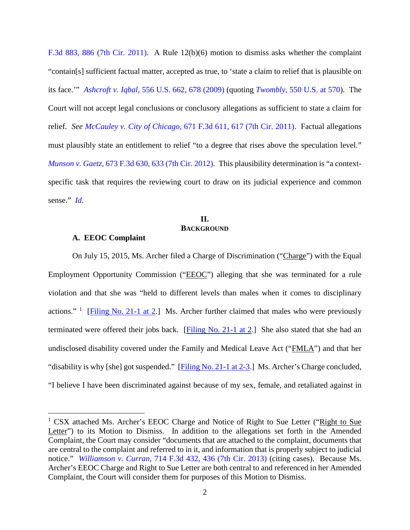[F.3d 883, 886 \(7th Cir. 2011\).](https://www.westlaw.com/Document/Ic45182d94e3e11e0a982f2e73586a872/View/FullText.html?transitionType=Default&contextData=(sc.Default)&VR=3.0&RS=da3.0&fragmentIdentifier=co_pp_sp_506_886) A Rule 12(b)(6) motion to dismiss asks whether the complaint "contain[s] sufficient factual matter, accepted as true, to 'state a claim to relief that is plausible on its face.'" *Ashcroft v. Iqbal*[, 556 U.S. 662, 678 \(2009\)](https://www.westlaw.com/Document/I90623386439011de8bf6cd8525c41437/View/FullText.html?transitionType=Default&contextData=(sc.Default)&VR=3.0&RS=da3.0&fragmentIdentifier=co_pp_sp_780_678) (quoting *Twombly*[, 550 U.S. at 570\)](https://www.westlaw.com/Document/Ib53eb62e07a011dcb035bac3a32ef289/View/FullText.html?transitionType=Default&contextData=(sc.Default)&VR=3.0&RS=da3.0&fragmentIdentifier=co_pp_sp_780_570). The Court will not accept legal conclusions or conclusory allegations as sufficient to state a claim for relief. *See McCauley v. City of Chicago*[, 671 F.3d 611, 617 \(7th Cir. 2011\).](https://www.westlaw.com/Document/Ie43c9a6ffb2a11e0bc27967e57e99458/View/FullText.html?transitionType=Default&contextData=(sc.Default)&VR=3.0&RS=da3.0&fragmentIdentifier=co_pp_sp_506_617) Factual allegations must plausibly state an entitlement to relief "to a degree that rises above the speculation level." *Munson v. Gaetz*[, 673 F.3d 630, 633 \(7th Cir. 2012\).](https://www.westlaw.com/Document/I84dde09969eb11e1be29b2facdefeebe/View/FullText.html?transitionType=Default&contextData=(sc.Default)&VR=3.0&RS=da3.0&fragmentIdentifier=co_pp_sp_506_633) This plausibility determination is "a contextspecific task that requires the reviewing court to draw on its judicial experience and common sense." *[Id](https://www.westlaw.com/Document/I84dde09969eb11e1be29b2facdefeebe/View/FullText.html?transitionType=Default&contextData=(sc.Default)&VR=3.0&RS=da3.0)*.

# **II. BACKGROUND**

#### **A. EEOC Complaint**

On July 15, 2015, Ms. Archer filed a Charge of Discrimination ("Charge") with the Equal Employment Opportunity Commission ("EEOC") alleging that she was terminated for a rule violation and that she was "held to different levels than males when it comes to disciplinary actions." <sup>[1](#page-1-0)</sup> [\[Filing No. 21-1 at 2.](https://ecf.insd.uscourts.gov/doc1/07316396019?page=2)] Ms. Archer further claimed that males who were previously terminated were offered their jobs back. [\[Filing No. 21-1 at 2.](https://ecf.insd.uscourts.gov/doc1/07316396019?page=2)] She also stated that she had an undisclosed disability covered under the Family and Medical Leave Act ("FMLA") and that her "disability is why [she] got suspended."  $[Figure No. 21-1 at 2-3.]$  Ms. Archer's Charge concluded, "I believe I have been discriminated against because of my sex, female, and retaliated against in

<span id="page-1-0"></span><sup>&</sup>lt;sup>1</sup> CSX attached Ms. Archer's EEOC Charge and Notice of Right to Sue Letter ("Right to Sue Letter") to its Motion to Dismiss. In addition to the allegations set forth in the Amended Complaint, the Court may consider "documents that are attached to the complaint, documents that are central to the complaint and referred to in it, and information that is properly subject to judicial notice." *Williamson v. Curran*[, 714 F.3d 432, 436 \(7th Cir. 2013\)](https://www.westlaw.com/Document/Ifd8a584a9d2111e28500bda794601919/View/FullText.html?transitionType=Default&contextData=(sc.Default)&VR=3.0&RS=da3.0&fragmentIdentifier=co_pp_sp_506_436) (citing cases). Because Ms. Archer's EEOC Charge and Right to Sue Letter are both central to and referenced in her Amended Complaint, the Court will consider them for purposes of this Motion to Dismiss.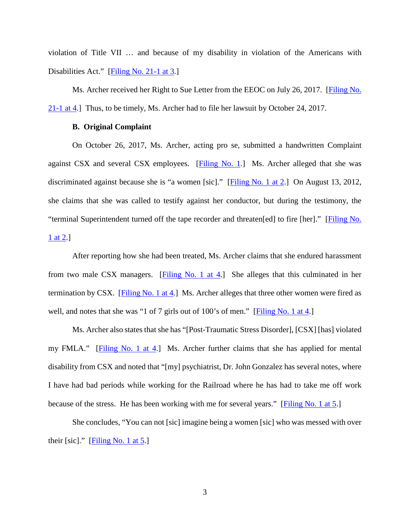violation of Title VII … and because of my disability in violation of the Americans with Disabilities Act." [\[Filing No. 21-1 at 3.](https://ecf.insd.uscourts.gov/doc1/07316396019?page=3)]

Ms. Archer received her Right to Sue Letter from the EEOC on July 26, 2017. [\[Filing No.](https://ecf.insd.uscourts.gov/doc1/07316396019?page=4)  [21-1 at 4.](https://ecf.insd.uscourts.gov/doc1/07316396019?page=4)] Thus, to be timely, Ms. Archer had to file her lawsuit by October 24, 2017.

### **B. Original Complaint**

On October 26, 2017, Ms. Archer, acting pro se, submitted a handwritten Complaint against CSX and several CSX employees. [\[Filing No. 1.](https://ecf.insd.uscourts.gov/doc1/07316227980)] Ms. Archer alleged that she was discriminated against because she is "a women [sic]." [\[Filing No. 1 at 2.](https://ecf.insd.uscourts.gov/doc1/07316227980?page=2)] On August 13, 2012, she claims that she was called to testify against her conductor, but during the testimony, the "terminal Superintendent turned off the tape recorder and threaten[ed] to fire [her]." [\[Filing No.](https://ecf.insd.uscourts.gov/doc1/07316227980?page=2)  [1 at 2.](https://ecf.insd.uscourts.gov/doc1/07316227980?page=2)]

After reporting how she had been treated, Ms. Archer claims that she endured harassment from two male CSX managers.  $[Filling No. 1 at 4.]$  She alleges that this culminated in her termination by CSX. [\[Filing No. 1 at 4.](https://ecf.insd.uscourts.gov/doc1/07316227980?page=4)] Ms. Archer alleges that three other women were fired as well, and notes that she was "1 of 7 girls out of 100's of men." [\[Filing No. 1 at 4.](https://ecf.insd.uscourts.gov/doc1/07316227980?page=4)]

Ms. Archer also states that she has "[Post-Traumatic Stress Disorder], [CSX] [has] violated my FMLA." [\[Filing No. 1 at 4.](https://ecf.insd.uscourts.gov/doc1/07316227980?page=4)] Ms. Archer further claims that she has applied for mental disability from CSX and noted that "[my] psychiatrist, Dr. John Gonzalez has several notes, where I have had bad periods while working for the Railroad where he has had to take me off work because of the stress. He has been working with me for several years." [\[Filing No. 1 at 5.](https://ecf.insd.uscourts.gov/doc1/07316227980?page=5)]

She concludes, "You can not [sic] imagine being a women [sic] who was messed with over their [sic]."  $[Filing No. 1 at 5.]$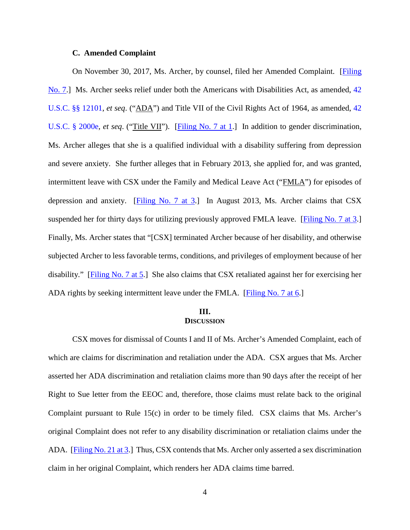#### **C. Amended Complaint**

On November 30, 2017, Ms. Archer, by counsel, filed her Amended Complaint. [\[Filing](https://ecf.insd.uscourts.gov/doc1/07316298449)  [No. 7.](https://ecf.insd.uscourts.gov/doc1/07316298449)] Ms. Archer seeks relief under both the Americans with Disabilities Act, as amended, [42](https://www.westlaw.com/Document/N24BDACF0E31D11DDBC2CF61764982A79/View/FullText.html?transitionType=Default&contextData=(sc.Default)&VR=3.0&RS=da3.0)  [U.S.C. §§ 12101,](https://www.westlaw.com/Document/N24BDACF0E31D11DDBC2CF61764982A79/View/FullText.html?transitionType=Default&contextData=(sc.Default)&VR=3.0&RS=da3.0) *et seq*. ("ADA") and Title VII of the Civil Rights Act of 1964, as amended, [42](https://www.westlaw.com/Document/NEA3563A0AFF711D8803AE0632FEDDFBF/View/FullText.html?transitionType=Default&contextData=(sc.Default)&VR=3.0&RS=da3.0)  [U.S.C. § 2000e,](https://www.westlaw.com/Document/NEA3563A0AFF711D8803AE0632FEDDFBF/View/FullText.html?transitionType=Default&contextData=(sc.Default)&VR=3.0&RS=da3.0) *et seq.* ("Title VII"). [\[Filing No. 7 at 1.](https://ecf.insd.uscourts.gov/doc1/07316298449?page=1)] In addition to gender discrimination, Ms. Archer alleges that she is a qualified individual with a disability suffering from depression and severe anxiety. She further alleges that in February 2013, she applied for, and was granted, intermittent leave with CSX under the Family and Medical Leave Act ("FMLA") for episodes of depression and anxiety. [\[Filing No. 7 at 3.](https://ecf.insd.uscourts.gov/doc1/07316298449?page=3)] In August 2013, Ms. Archer claims that CSX suspended her for thirty days for utilizing previously approved FMLA leave. [\[Filing No. 7 at 3.](https://ecf.insd.uscourts.gov/doc1/07316298449?page=3)] Finally, Ms. Archer states that "[CSX] terminated Archer because of her disability, and otherwise subjected Archer to less favorable terms, conditions, and privileges of employment because of her disability." [\[Filing No. 7 at 5.](https://ecf.insd.uscourts.gov/doc1/07316298449?page=5)] She also claims that CSX retaliated against her for exercising her ADA rights by seeking intermittent leave under the FMLA. [\[Filing No. 7 at 6.](https://ecf.insd.uscourts.gov/doc1/07316298449?page=6)]

## **III. DISCUSSION**

CSX moves for dismissal of Counts I and II of Ms. Archer's Amended Complaint, each of which are claims for discrimination and retaliation under the ADA. CSX argues that Ms. Archer asserted her ADA discrimination and retaliation claims more than 90 days after the receipt of her Right to Sue letter from the EEOC and, therefore, those claims must relate back to the original Complaint pursuant to Rule 15(c) in order to be timely filed. CSX claims that Ms. Archer's original Complaint does not refer to any disability discrimination or retaliation claims under the ADA. [\[Filing No. 21 at 3.](https://ecf.insd.uscourts.gov/doc1/07316396018?page=3)] Thus, CSX contends that Ms. Archer only asserted a sex discrimination claim in her original Complaint, which renders her ADA claims time barred.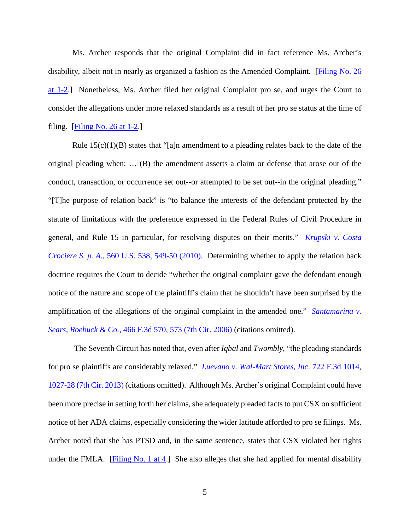Ms. Archer responds that the original Complaint did in fact reference Ms. Archer's disability, albeit not in nearly as organized a fashion as the Amended Complaint. [\[Filing No. 26](https://ecf.insd.uscourts.gov/doc1/07316420100?page=1)  [at 1-2.](https://ecf.insd.uscourts.gov/doc1/07316420100?page=1)] Nonetheless, Ms. Archer filed her original Complaint pro se, and urges the Court to consider the allegations under more relaxed standards as a result of her pro se status at the time of filing.  $[Filing No. 26 at 1-2.]$ 

Rule  $15(c)(1)(B)$  states that "[a]n amendment to a pleading relates back to the date of the original pleading when: … (B) the amendment asserts a claim or defense that arose out of the conduct, transaction, or occurrence set out--or attempted to be set out--in the original pleading." "[T]he purpose of relation back" is "to balance the interests of the defendant protected by the statute of limitations with the preference expressed in the Federal Rules of Civil Procedure in general, and Rule 15 in particular, for resolving disputes on their merits." *[Krupski v. Costa](https://www.westlaw.com/Document/I821b593771d411dfae66b23e804c3c12/View/FullText.html?transitionType=Default&contextData=(sc.Default)&VR=3.0&RS=da3.0&fragmentIdentifier=co_pp_sp_780_549)  Crociere S. p. A.*[, 560 U.S. 538, 549-50 \(2010\).](https://www.westlaw.com/Document/I821b593771d411dfae66b23e804c3c12/View/FullText.html?transitionType=Default&contextData=(sc.Default)&VR=3.0&RS=da3.0&fragmentIdentifier=co_pp_sp_780_549) Determining whether to apply the relation back doctrine requires the Court to decide "whether the original complaint gave the defendant enough notice of the nature and scope of the plaintiff's claim that he shouldn't have been surprised by the amplification of the allegations of the original complaint in the amended one." *[Santamarina v.](https://www.westlaw.com/Document/If6e700e05f7811dba10be1078cee05f1/View/FullText.html?transitionType=Default&contextData=(sc.Default)&VR=3.0&RS=da3.0&fragmentIdentifier=co_pp_sp_506_573)  [Sears, Roebuck & Co.](https://www.westlaw.com/Document/If6e700e05f7811dba10be1078cee05f1/View/FullText.html?transitionType=Default&contextData=(sc.Default)&VR=3.0&RS=da3.0&fragmentIdentifier=co_pp_sp_506_573)*, 466 F.3d 570, 573 (7th Cir. 2006) (citations omitted).

The Seventh Circuit has noted that, even after *Iqbal* and *Twombly*, "the pleading standards for pro se plaintiffs are considerably relaxed." *[Luevano v. Wal-Mart Stores, Inc](https://www.westlaw.com/Document/I4611e087ee2a11e2a555d241dae65084/View/FullText.html?transitionType=Default&contextData=(sc.Default)&VR=3.0&RS=da3.0&fragmentIdentifier=co_pp_sp_506_1027)*. 722 F.3d 1014, [1027-28 \(7th Cir. 2013\)](https://www.westlaw.com/Document/I4611e087ee2a11e2a555d241dae65084/View/FullText.html?transitionType=Default&contextData=(sc.Default)&VR=3.0&RS=da3.0&fragmentIdentifier=co_pp_sp_506_1027) (citations omitted). Although Ms. Archer's original Complaint could have been more precise in setting forth her claims, she adequately pleaded facts to put CSX on sufficient notice of her ADA claims, especially considering the wider latitude afforded to pro se filings. Ms. Archer noted that she has PTSD and, in the same sentence, states that CSX violated her rights under the FMLA. [\[Filing No. 1 at 4.](https://ecf.insd.uscourts.gov/doc1/07316227980?page=4)] She also alleges that she had applied for mental disability